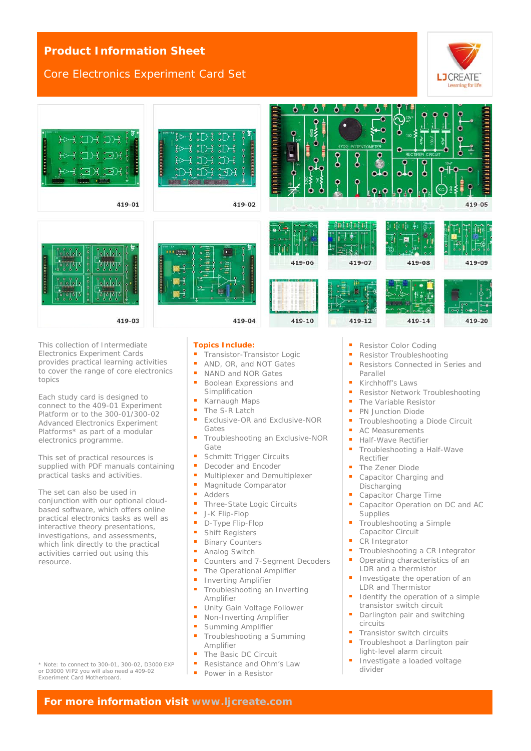## **Product Information Sheet**

### Core Electronics Experiment Card Set



| $\mathbb{D}$<br>$H > \frac{1}{3}$<br>$\mathbb{Z}$<br><b>The Communication</b><br>$\sim$<br>് ച<br>$\circ$<br><b>Common</b><br>,,,,,,,<br>419-01        | fÞ<br>ៗ<br>្ម<br><b>CONTRACTOR CONTRACT</b><br><b>TERRITORIALISTICALISTICALIST</b><br>H<br>ᄀ<br>ò<br>419-02 | ۰<br>۰<br>o<br><b>THE PERSON</b><br>ి<br>$\frac{1}{\sqrt{2}}$<br>o<br>Ì<br>۰<br>ö<br>o | ۰<br>$\bullet$<br>۰<br>ο<br>4709 POTENTIOMETER<br>$\frac{1}{2}$<br>ο<br>ο<br>۰<br>۰<br>0 <sub>10</sub><br>۰<br>$\bullet$ | o<br>g<br>o<br><b>RECTIFIER CIRCUIT</b><br>$\bullet$<br>o<br><b>010</b><br>۰ | Ξ<br><br>Ω<br>419-05                                 |
|--------------------------------------------------------------------------------------------------------------------------------------------------------|-------------------------------------------------------------------------------------------------------------|----------------------------------------------------------------------------------------|--------------------------------------------------------------------------------------------------------------------------|------------------------------------------------------------------------------|------------------------------------------------------|
| ใก้กำเงิ<br>بعلع إجلعا<br><b>Communication</b><br><b>Internetwork</b><br>FĮ<br> 0 0<br>ไรไรไรไร<br>اقلقا<br>$\ddot{\mathbf{Q}}$<br>$\ddot{\mathbf{0}}$ | 00 L.E<br>o<br>annun<br>                                                                                    | ه.<br>$-0$ $-0$<br>419-06                                                              | 419-07                                                                                                                   | 419-08                                                                       | Ō.<br>419-09                                         |
| $\mathbb{I}_2$<br>$\ddot{\circ}$<br>$\Delta$<br>419-03                                                                                                 | $-9 -$<br>붑<br>419-04                                                                                       | 419-10                                                                                 | 419-12                                                                                                                   | 419-14                                                                       | ÷<br>P <sub>1</sub><br>$\sigma$<br>$0 - 0$<br>419-20 |
|                                                                                                                                                        |                                                                                                             |                                                                                        |                                                                                                                          |                                                                              |                                                      |

This collection of Intermediate Electronics Experiment Cards provides practical learning activities to cover the range of core electronics topics

Each study card is designed to connect to the 409-01 Experiment Platform or to the 300-01/300-02 Advanced Electronics Experiment Platforms\* as part of a modular electronics programme.

This set of practical resources is supplied with PDF manuals containing practical tasks and activities.

The set can also be used in conjunction with our optional cloudbased software, which offers online practical electronics tasks as well as interactive theory presentations, investigations, and assessments, which link directly to the practical activities carried out using this resource.

\* Note: to connect to 300-01, 300-02, D3000 EXP or D3000 VIP2 you will also need a 409-02 Experiment Card Motherboard.

**Topics Include:**

- Transistor-Transistor Logic
- AND, OR, and NOT Gates
- NAND and NOR Gates
- **Boolean Expressions and** Simplification
- Karnaugh Maps
- The S-R Latch<br>Exclusive OB a
- Exclusive-OR and Exclusive-NOR Gates
- Troubleshooting an Exclusive-NOR Gate
- Schmitt Trigger Circuits
- **Decoder and Encoder**
- Multiplexer and Demultiplexer
- Magnitude Comparator
- Adders
- Three-State Logic Circuits
- $J-K$  Flip-Flop
- D-Type Flip-Flop
- **Bullet** Shift Registers
- **Binary Counters**
- Analog Switch
- Counters and 7-Segment Decoders
- **The Operational Amplifier**
- **Inverting Amplifier**
- **Troubleshooting an Inverting** Amplifier
- **Unity Gain Voltage Follower**
- Non-Inverting Amplifier
- **Summing Amplifier**
- Troubleshooting a Summing Amplifier
- The Basic DC Circuit
- Resistance and Ohm's Law
- **Power in a Resistor**
- Resistor Color Coding
- **Resistor Troubleshooting**
- Resistors Connected in Series and Parallel
- **Kirchhoff's Laws**
- **Resistor Network Troubleshooting**
- The Variable Resistor
- PN Junction Diode
- **Troubleshooting a Diode Circuit**
- **AC Measurements**
- Half-Wave Rectifier
- **Troubleshooting a Half-Wave** Rectifier
- The Zener Diode
- **Capacitor Charging and** Discharging
- Capacitor Charge Time
- Capacitor Operation on DC and AC **Supplies**
- Troubleshooting a Simple Capacitor Circuit
- CR Integrator
- Troubleshooting a CR Integrator
- Operating characteristics of an LDR and a thermistor
- **Investigate the operation of an** LDR and Thermistor
- Identify the operation of a simple transistor switch circuit
- **Darlington pair and switching** circuits
- **Transistor switch circuits**
- Troubleshoot a Darlington pair light-level alarm circuit
- Investigate a loaded voltage divider

**For more information visit [www.ljcreate.com](http://www.ljcreate.com/)**